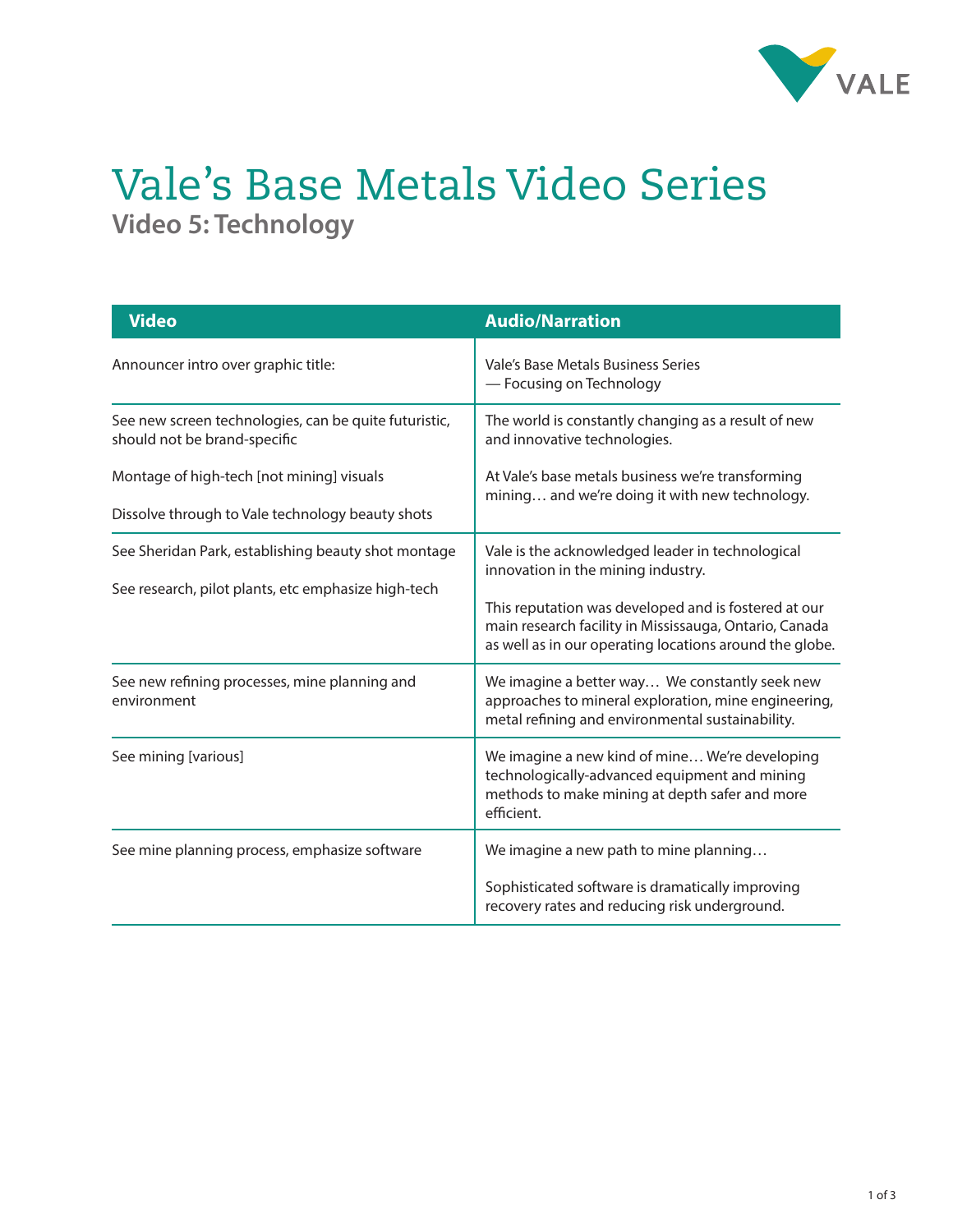

## Vale's Base Metals Video Series **Video 5: Technology**

| <b>Video</b>                                                                                               | <b>Audio/Narration</b>                                                                                                                                                    |
|------------------------------------------------------------------------------------------------------------|---------------------------------------------------------------------------------------------------------------------------------------------------------------------------|
| Announcer intro over graphic title:                                                                        | Vale's Base Metals Business Series<br>- Focusing on Technology                                                                                                            |
| See new screen technologies, can be quite futuristic,<br>should not be brand-specific                      | The world is constantly changing as a result of new<br>and innovative technologies.                                                                                       |
| Montage of high-tech [not mining] visuals                                                                  | At Vale's base metals business we're transforming<br>mining and we're doing it with new technology.                                                                       |
| Dissolve through to Vale technology beauty shots                                                           |                                                                                                                                                                           |
| See Sheridan Park, establishing beauty shot montage<br>See research, pilot plants, etc emphasize high-tech | Vale is the acknowledged leader in technological<br>innovation in the mining industry.                                                                                    |
|                                                                                                            | This reputation was developed and is fostered at our<br>main research facility in Mississauga, Ontario, Canada<br>as well as in our operating locations around the globe. |
| See new refining processes, mine planning and<br>environment                                               | We imagine a better way We constantly seek new<br>approaches to mineral exploration, mine engineering,<br>metal refining and environmental sustainability.                |
| See mining [various]                                                                                       | We imagine a new kind of mine We're developing<br>technologically-advanced equipment and mining<br>methods to make mining at depth safer and more<br>efficient.           |
| See mine planning process, emphasize software                                                              | We imagine a new path to mine planning                                                                                                                                    |
|                                                                                                            | Sophisticated software is dramatically improving<br>recovery rates and reducing risk underground.                                                                         |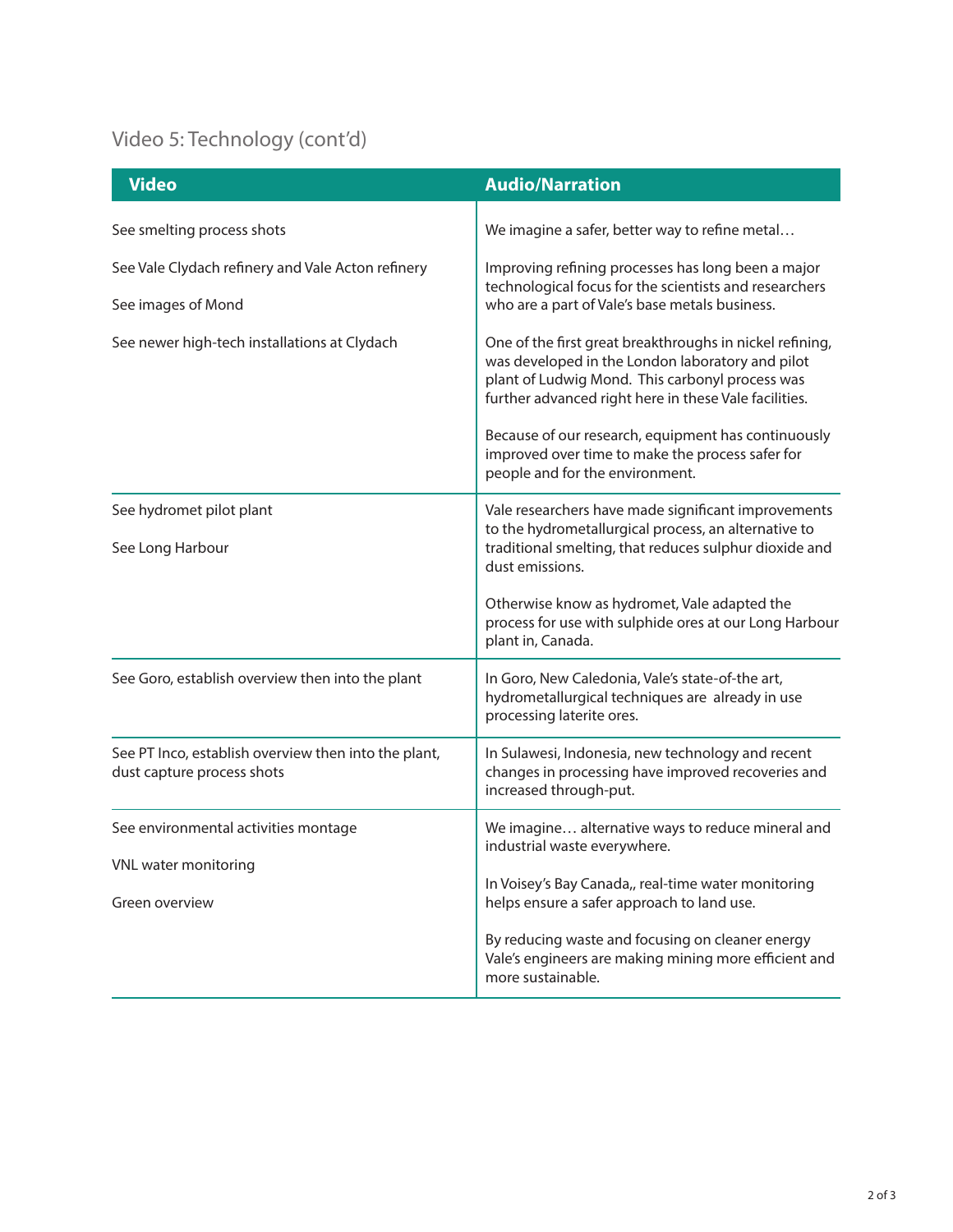## Video 5: Technology (cont'd)

| <b>Video</b>                                                                       | <b>Audio/Narration</b>                                                                                                                                                                                                   |
|------------------------------------------------------------------------------------|--------------------------------------------------------------------------------------------------------------------------------------------------------------------------------------------------------------------------|
| See smelting process shots                                                         | We imagine a safer, better way to refine metal                                                                                                                                                                           |
| See Vale Clydach refinery and Vale Acton refinery<br>See images of Mond            | Improving refining processes has long been a major<br>technological focus for the scientists and researchers<br>who are a part of Vale's base metals business.                                                           |
| See newer high-tech installations at Clydach                                       | One of the first great breakthroughs in nickel refining,<br>was developed in the London laboratory and pilot<br>plant of Ludwig Mond. This carbonyl process was<br>further advanced right here in these Vale facilities. |
|                                                                                    | Because of our research, equipment has continuously<br>improved over time to make the process safer for<br>people and for the environment.                                                                               |
| See hydromet pilot plant<br>See Long Harbour                                       | Vale researchers have made significant improvements<br>to the hydrometallurgical process, an alternative to<br>traditional smelting, that reduces sulphur dioxide and<br>dust emissions.                                 |
|                                                                                    | Otherwise know as hydromet, Vale adapted the<br>process for use with sulphide ores at our Long Harbour<br>plant in, Canada.                                                                                              |
| See Goro, establish overview then into the plant                                   | In Goro, New Caledonia, Vale's state-of-the art,<br>hydrometallurgical techniques are already in use<br>processing laterite ores.                                                                                        |
| See PT Inco, establish overview then into the plant,<br>dust capture process shots | In Sulawesi, Indonesia, new technology and recent<br>changes in processing have improved recoveries and<br>increased through-put.                                                                                        |
| See environmental activities montage<br>VNL water monitoring<br>Green overview     | We imagine alternative ways to reduce mineral and<br>industrial waste everywhere.                                                                                                                                        |
|                                                                                    | In Voisey's Bay Canada,, real-time water monitoring<br>helps ensure a safer approach to land use.                                                                                                                        |
|                                                                                    | By reducing waste and focusing on cleaner energy<br>Vale's engineers are making mining more efficient and<br>more sustainable.                                                                                           |